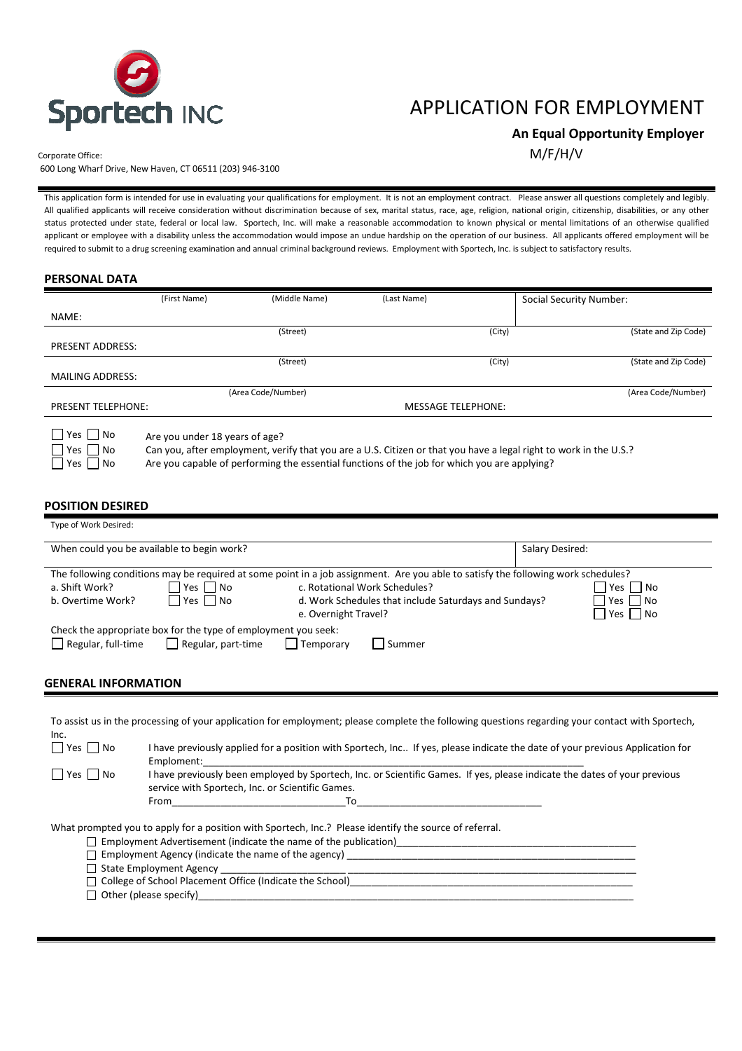

# APPLICATION FOR EMPLOYMENT

 **An Equal Opportunity Employer** 

Corporate Office:  $M/F/H/V$ 

600 Long Wharf Drive, New Haven, CT 06511 (203) 946-3100

This application form is intended for use in evaluating your qualifications for employment. It is not an employment contract. Please answer all questions completely and legibly. All qualified applicants will receive consideration without discrimination because of sex, marital status, race, age, religion, national origin, citizenship, disabilities, or any other status protected under state, federal or local law. Sportech, Inc. will make a reasonable accommodation to known physical or mental limitations of an otherwise qualified applicant or employee with a disability unless the accommodation would impose an undue hardship on the operation of our business. All applicants offered employment will be required to submit to a drug screening examination and annual criminal background reviews. Employment with Sportech, Inc. is subject to satisfactory results.

| <b>PERSONAL DATA</b> |  |
|----------------------|--|
|----------------------|--|

|                                            | (First Name)                   | (Middle Name)      | (Last Name)                                                                                                                                                                                                       | <b>Social Security Number:</b> |
|--------------------------------------------|--------------------------------|--------------------|-------------------------------------------------------------------------------------------------------------------------------------------------------------------------------------------------------------------|--------------------------------|
| NAME:                                      |                                |                    |                                                                                                                                                                                                                   |                                |
|                                            |                                | (Street)           | (City)                                                                                                                                                                                                            | (State and Zip Code)           |
| <b>PRESENT ADDRESS:</b>                    |                                |                    |                                                                                                                                                                                                                   |                                |
|                                            |                                | (Street)           | (City)                                                                                                                                                                                                            | (State and Zip Code)           |
| <b>MAILING ADDRESS:</b>                    |                                |                    |                                                                                                                                                                                                                   |                                |
|                                            |                                | (Area Code/Number) |                                                                                                                                                                                                                   | (Area Code/Number)             |
| <b>PRESENT TELEPHONE:</b>                  |                                |                    | <b>MESSAGE TELEPHONE:</b>                                                                                                                                                                                         |                                |
| $Yes \mid No$<br>Yes     No<br>l No<br>Yes | Are you under 18 years of age? |                    | Can you, after employment, verify that you are a U.S. Citizen or that you have a legal right to work in the U.S.?<br>Are you capable of performing the essential functions of the job for which you are applying? |                                |

#### **POSITION DESIRED**

|                            | When could you be available to begin work?                     |                      |                                                                                                                                   | Salary Desired: |                            |
|----------------------------|----------------------------------------------------------------|----------------------|-----------------------------------------------------------------------------------------------------------------------------------|-----------------|----------------------------|
|                            |                                                                |                      | The following conditions may be required at some point in a job assignment. Are you able to satisfy the following work schedules? |                 |                            |
| a. Shift Work?             | Yes I No                                                       |                      | c. Rotational Work Schedules?                                                                                                     |                 | Yes  <br>l No              |
| b. Overtime Work?          | Yes   No                                                       | e. Overnight Travel? | d. Work Schedules that include Saturdays and Sundays?                                                                             |                 | l No<br>Yes<br>l No<br>Yes |
|                            | Check the appropriate box for the type of employment you seek: |                      |                                                                                                                                   |                 |                            |
| Regular, full-time         | $\vert$ Regular, part-time                                     | Temporary            | Summer                                                                                                                            |                 |                            |
| <b>GENERAL INFORMATION</b> |                                                                |                      |                                                                                                                                   |                 |                            |

|                      | TO assist us in the processing or your application for employment, please complete the rollowing questions regarding your contact with Sportech,                                                                                                                                                                                              |
|----------------------|-----------------------------------------------------------------------------------------------------------------------------------------------------------------------------------------------------------------------------------------------------------------------------------------------------------------------------------------------|
| Inc.                 |                                                                                                                                                                                                                                                                                                                                               |
| $ $   Yes     No     | I have previously applied for a position with Sportech, Inc If yes, please indicate the date of your previous Application for<br>Emploment:                                                                                                                                                                                                   |
| $\Box$ Yes $\Box$ No | I have previously been employed by Sportech, Inc. or Scientific Games. If yes, please indicate the dates of your previous<br>service with Sportech, Inc. or Scientific Games.                                                                                                                                                                 |
|                      | From To                                                                                                                                                                                                                                                                                                                                       |
|                      | What prompted you to apply for a position with Sportech, Inc.? Please identify the source of referral.<br>$\Box$ Employment Advertisement (indicate the name of the publication)<br>$\Box$ Employment Agency (indicate the name of the agency)<br>□ College of School Placement Office (Indicate the School)<br>$\Box$ Other (please specify) |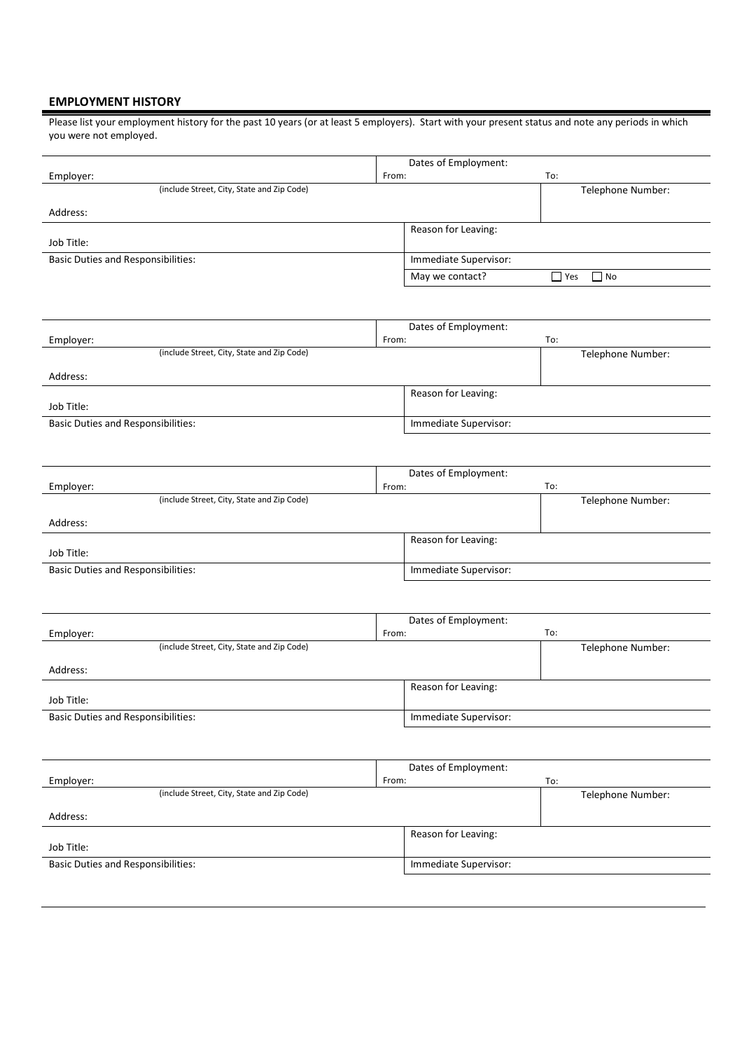### **EMPLOYMENT HISTORY**

Please list your employment history for the past 10 years (or at least 5 employers). Start with your present status and note any periods in which you were not employed.

|                                            | Dates of Employment:  |                   |
|--------------------------------------------|-----------------------|-------------------|
| Employer:                                  | From:                 | To:               |
| (include Street, City, State and Zip Code) |                       | Telephone Number: |
| Address:                                   |                       |                   |
|                                            | Reason for Leaving:   |                   |
| Job Title:                                 |                       |                   |
| <b>Basic Duties and Responsibilities:</b>  | Immediate Supervisor: |                   |
|                                            | May we contact?       | N<br>  Yes        |

|                                            | Dates of Employment:  |  |
|--------------------------------------------|-----------------------|--|
| Employer:                                  | To:<br>From:          |  |
| (include Street, City, State and Zip Code) | Telephone Number:     |  |
| Address:                                   |                       |  |
|                                            | Reason for Leaving:   |  |
| Job Title:                                 |                       |  |
| <b>Basic Duties and Responsibilities:</b>  | Immediate Supervisor: |  |

|                                            | Dates of Employment:  |                   |  |
|--------------------------------------------|-----------------------|-------------------|--|
| Employer:                                  | From:                 | To:               |  |
| (include Street, City, State and Zip Code) |                       | Telephone Number: |  |
| Address:                                   |                       |                   |  |
|                                            | Reason for Leaving:   |                   |  |
| Job Title:                                 |                       |                   |  |
| <b>Basic Duties and Responsibilities:</b>  | Immediate Supervisor: |                   |  |

|                                            | Dates of Employment:  |                   |
|--------------------------------------------|-----------------------|-------------------|
| Employer:                                  | From:                 | To:               |
| (include Street, City, State and Zip Code) |                       | Telephone Number: |
| Address:                                   |                       |                   |
|                                            | Reason for Leaving:   |                   |
| Job Title:                                 |                       |                   |
| <b>Basic Duties and Responsibilities:</b>  | Immediate Supervisor: |                   |

|                                            | Dates of Employment:  |                   |
|--------------------------------------------|-----------------------|-------------------|
| Employer:                                  | From:<br>To:          |                   |
| (include Street, City, State and Zip Code) |                       | Telephone Number: |
| Address:                                   |                       |                   |
|                                            | Reason for Leaving:   |                   |
| Job Title:                                 |                       |                   |
| <b>Basic Duties and Responsibilities:</b>  | Immediate Supervisor: |                   |
|                                            |                       |                   |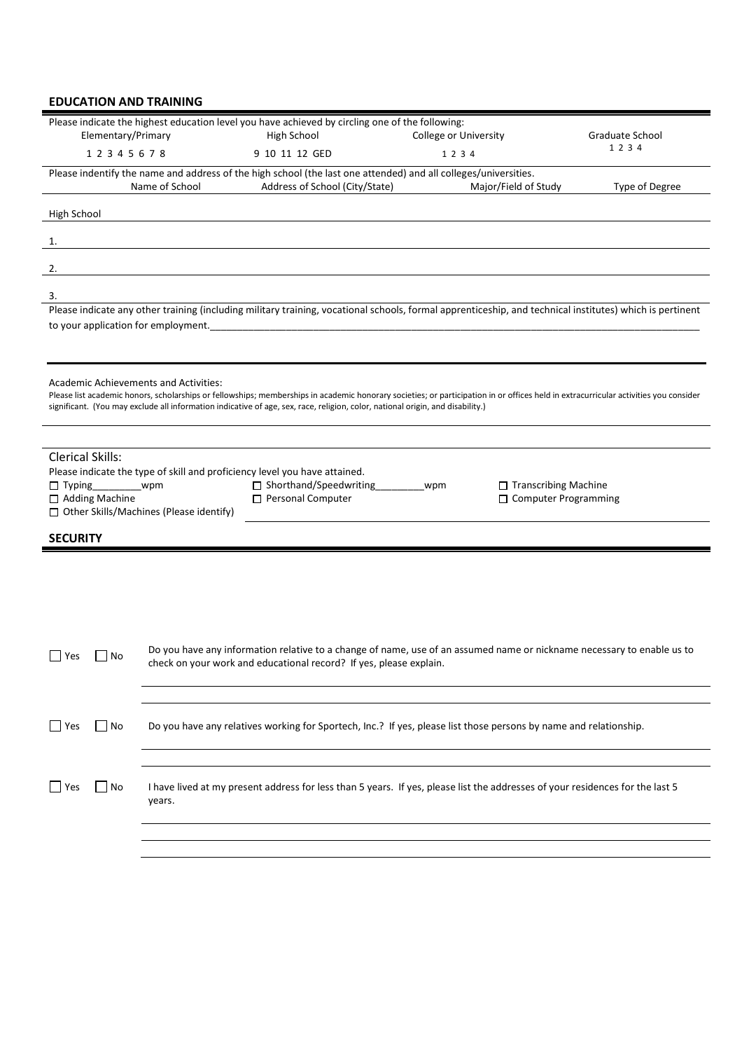### **EDUCATION AND TRAINING**

| Elementary/Primary                                           |                                                       | Please indicate the highest education level you have achieved by circling one of the following:<br>High School                                                                                                                                                                                                         | College or University |                                                       | Graduate School |
|--------------------------------------------------------------|-------------------------------------------------------|------------------------------------------------------------------------------------------------------------------------------------------------------------------------------------------------------------------------------------------------------------------------------------------------------------------------|-----------------------|-------------------------------------------------------|-----------------|
| 12345678                                                     |                                                       | 9 10 11 12 GED                                                                                                                                                                                                                                                                                                         | 1 2 3 4               |                                                       | 1 2 3 4         |
|                                                              | Name of School                                        | Please indentify the name and address of the high school (the last one attended) and all colleges/universities.<br>Address of School (City/State)                                                                                                                                                                      |                       | Major/Field of Study                                  | Type of Degree  |
| High School                                                  |                                                       |                                                                                                                                                                                                                                                                                                                        |                       |                                                       |                 |
| 1.                                                           |                                                       |                                                                                                                                                                                                                                                                                                                        |                       |                                                       |                 |
| 2.                                                           |                                                       |                                                                                                                                                                                                                                                                                                                        |                       |                                                       |                 |
| 3.                                                           |                                                       |                                                                                                                                                                                                                                                                                                                        |                       |                                                       |                 |
| to your application for employment.                          |                                                       | Please indicate any other training (including military training, vocational schools, formal apprenticeship, and technical institutes) which is pertinent                                                                                                                                                               |                       |                                                       |                 |
|                                                              |                                                       |                                                                                                                                                                                                                                                                                                                        |                       |                                                       |                 |
| Academic Achievements and Activities:                        |                                                       | Please list academic honors, scholarships or fellowships; memberships in academic honorary societies; or participation in or offices held in extracurricular activities you consider<br>significant. (You may exclude all information indicative of age, sex, race, religion, color, national origin, and disability.) |                       |                                                       |                 |
|                                                              |                                                       |                                                                                                                                                                                                                                                                                                                        |                       |                                                       |                 |
| <b>Clerical Skills:</b><br>$\Box$ Typing<br>□ Adding Machine | wpm<br>$\Box$ Other Skills/Machines (Please identify) | Please indicate the type of skill and proficiency level you have attained.<br>□ Shorthand/Speedwriting<br>Personal Computer                                                                                                                                                                                            | wpm                   | □ Transcribing Machine<br>$\Box$ Computer Programming |                 |
| <b>SECURITY</b>                                              |                                                       |                                                                                                                                                                                                                                                                                                                        |                       |                                                       |                 |
|                                                              |                                                       |                                                                                                                                                                                                                                                                                                                        |                       |                                                       |                 |
| Yes<br>No                                                    |                                                       | Do you have any information relative to a change of name, use of an assumed name or nickname necessary to enable us to<br>check on your work and educational record? If yes, please explain.                                                                                                                           |                       |                                                       |                 |
|                                                              |                                                       |                                                                                                                                                                                                                                                                                                                        |                       |                                                       |                 |
| No<br>l Yes                                                  |                                                       | Do you have any relatives working for Sportech, Inc.? If yes, please list those persons by name and relationship.                                                                                                                                                                                                      |                       |                                                       |                 |
|                                                              |                                                       |                                                                                                                                                                                                                                                                                                                        |                       |                                                       |                 |
| No<br>Yes                                                    | years.                                                | I have lived at my present address for less than 5 years. If yes, please list the addresses of your residences for the last 5                                                                                                                                                                                          |                       |                                                       |                 |
|                                                              |                                                       |                                                                                                                                                                                                                                                                                                                        |                       |                                                       |                 |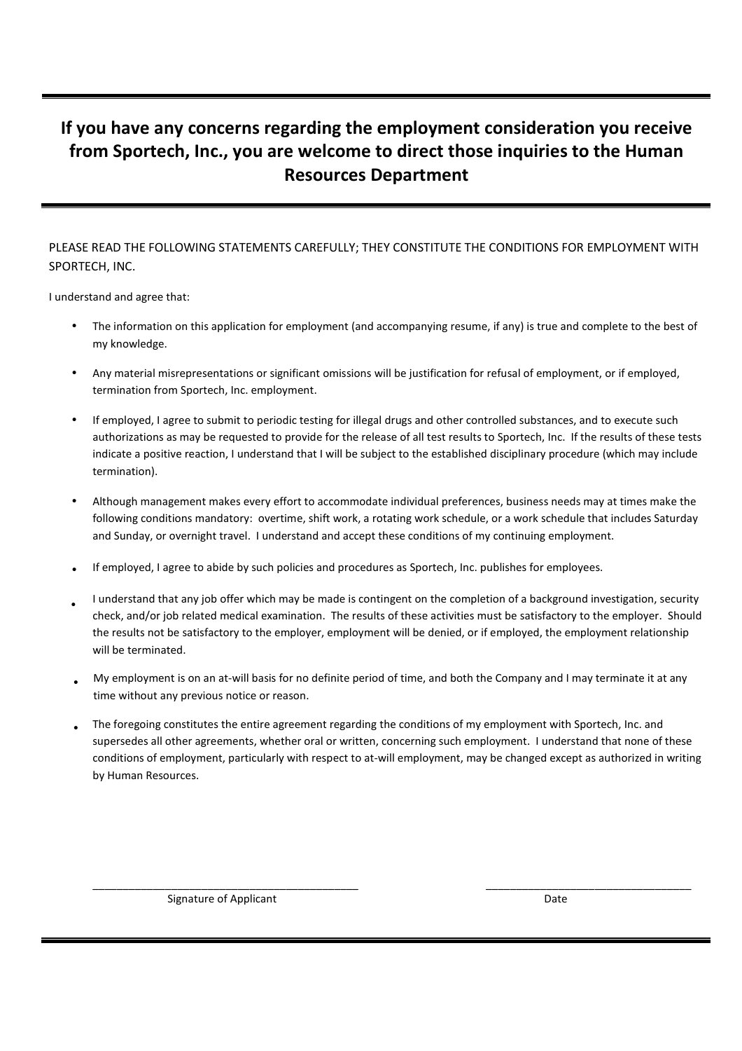## **If you have any concerns regarding the employment consideration you receive from Sportech, Inc., you are welcome to direct those inquiries to the Human Resources Department**

## PLEASE READ THE FOLLOWING STATEMENTS CAREFULLY; THEY CONSTITUTE THE CONDITIONS FOR EMPLOYMENT WITH SPORTECH, INC.

I understand and agree that:

- The information on this application for employment (and accompanying resume, if any) is true and complete to the best of my knowledge.
- Any material misrepresentations or significant omissions will be justification for refusal of employment, or if employed, termination from Sportech, Inc. employment.
- If employed, I agree to submit to periodic testing for illegal drugs and other controlled substances, and to execute such authorizations as may be requested to provide for the release of all test results to Sportech, Inc. If the results of these tests indicate a positive reaction, I understand that I will be subject to the established disciplinary procedure (which may include termination).
- Although management makes every effort to accommodate individual preferences, business needs may at times make the following conditions mandatory: overtime, shift work, a rotating work schedule, or a work schedule that includes Saturday and Sunday, or overnight travel. I understand and accept these conditions of my continuing employment.
- If employed, I agree to abide by such policies and procedures as Sportech, Inc. publishes for employees.
- I understand that any job offer which may be made is contingent on the completion of a background investigation, security check, and/or job related medical examination. The results of these activities must be satisfactory to the employer. Should the results not be satisfactory to the employer, employment will be denied, or if employed, the employment relationship will be terminated. •
- My employment is on an at-will basis for no definite period of time, and both the Company and I may terminate it at any time without any previous notice or reason.
- The foregoing constitutes the entire agreement regarding the conditions of my employment with Sportech, Inc. and supersedes all other agreements, whether oral or written, concerning such employment. I understand that none of these conditions of employment, particularly with respect to at-will employment, may be changed except as authorized in writing by Human Resources.

\_\_\_\_\_\_\_\_\_\_\_\_\_\_\_\_\_\_\_\_\_\_\_\_\_\_\_\_\_\_\_\_\_\_\_\_\_\_\_\_\_\_\_\_ \_\_\_\_\_\_\_\_\_\_\_\_\_\_\_\_\_\_\_\_\_\_\_\_\_\_\_\_\_\_\_\_\_\_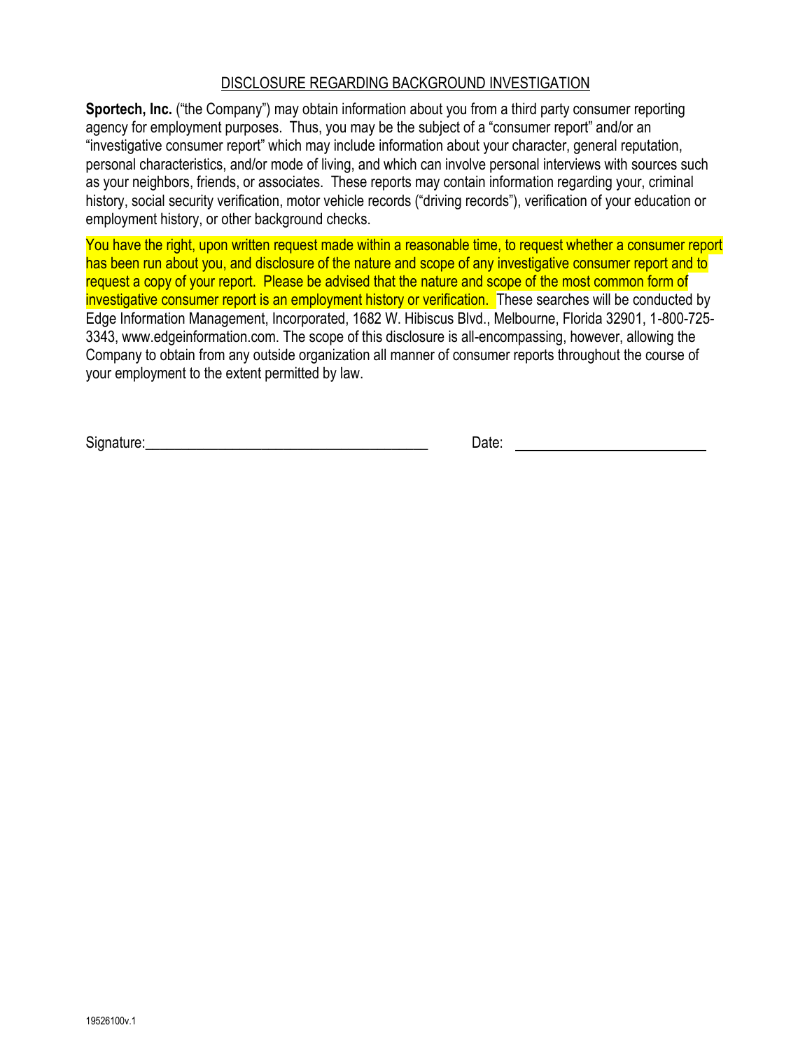## DISCLOSURE REGARDING BACKGROUND INVESTIGATION

**Sportech, Inc.** ("the Company") may obtain information about you from a third party consumer reporting agency for employment purposes. Thus, you may be the subject of a "consumer report" and/or an "investigative consumer report" which may include information about your character, general reputation, personal characteristics, and/or mode of living, and which can involve personal interviews with sources such as your neighbors, friends, or associates. These reports may contain information regarding your, criminal history, social security verification, motor vehicle records ("driving records"), verification of your education or employment history, or other background checks.

You have the right, upon written request made within a reasonable time, to request whether a consumer report has been run about you, and disclosure of the nature and scope of any investigative consumer report and to request a copy of your report. Please be advised that the nature and scope of the most common form of investigative consumer report is an employment history or verification. These searches will be conducted by Edge Information Management, Incorporated, 1682 W. Hibiscus Blvd., Melbourne, Florida 32901, 1-800-725- 3343, www.edgeinformation.com. The scope of this disclosure is all-encompassing, however, allowing the Company to obtain from any outside organization all manner of consumer reports throughout the course of your employment to the extent permitted by law.

Signature:\_\_\_\_\_\_\_\_\_\_\_\_\_\_\_\_\_\_\_\_\_\_\_\_\_\_\_\_\_\_\_\_\_\_\_\_\_\_\_ Date: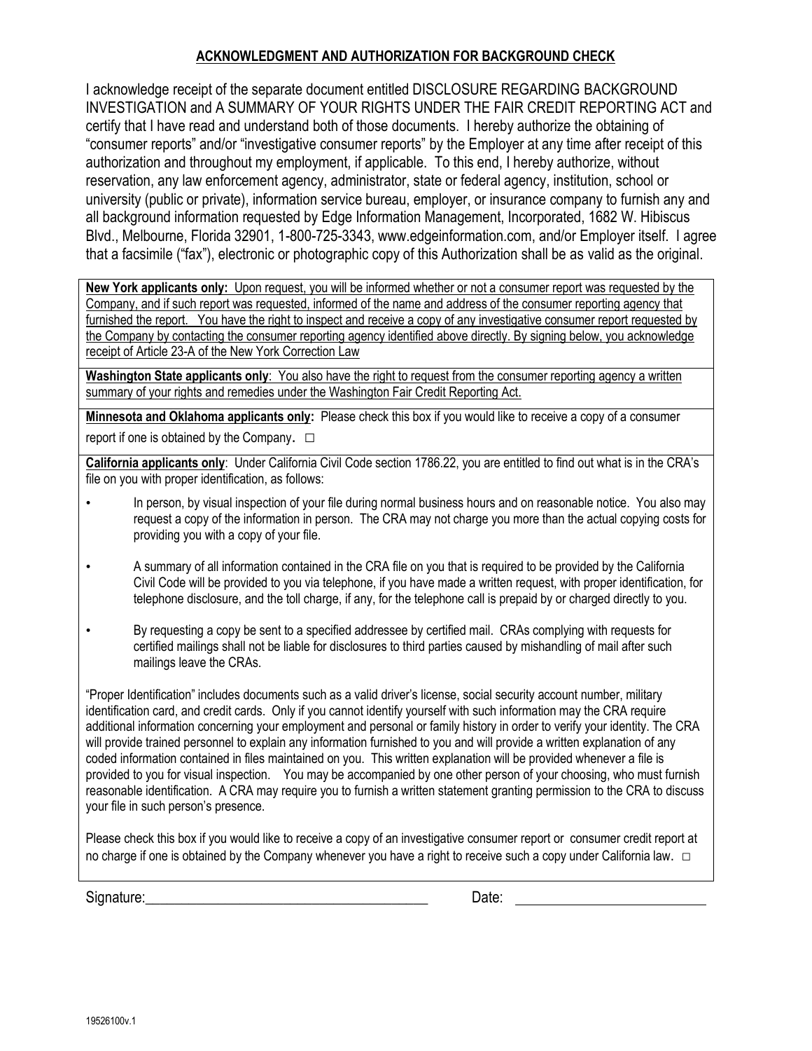### **ACKNOWLEDGMENT AND AUTHORIZATION FOR BACKGROUND CHECK**

I acknowledge receipt of the separate document entitled DISCLOSURE REGARDING BACKGROUND INVESTIGATION and A SUMMARY OF YOUR RIGHTS UNDER THE FAIR CREDIT REPORTING ACT and certify that I have read and understand both of those documents. I hereby authorize the obtaining of "consumer reports" and/or "investigative consumer reports" by the Employer at any time after receipt of this authorization and throughout my employment, if applicable. To this end, I hereby authorize, without reservation, any law enforcement agency, administrator, state or federal agency, institution, school or university (public or private), information service bureau, employer, or insurance company to furnish any and all background information requested by Edge Information Management, Incorporated, 1682 W. Hibiscus Blvd., Melbourne, Florida 32901, 1-800-725-3343, www.edgeinformation.com, and/or Employer itself. I agree that a facsimile ("fax"), electronic or photographic copy of this Authorization shall be as valid as the original.

**New York applicants only:** Upon request, you will be informed whether or not a consumer report was requested by the Company, and if such report was requested, informed of the name and address of the consumer reporting agency that furnished the report. You have the right to inspect and receive a copy of any investigative consumer report requested by the Company by contacting the consumer reporting agency identified above directly. By signing below, you acknowledge receipt of Article 23-A of the New York Correction Law

**Washington State applicants only**: You also have the right to request from the consumer reporting agency a written summary of your rights and remedies under the Washington Fair Credit Reporting Act.

**Minnesota and Oklahoma applicants only:** Please check this box if you would like to receive a copy of a consumer report if one is obtained by the Company.  $\square$ 

**California applicants only**: Under California Civil Code section 1786.22, you are entitled to find out what is in the CRA's file on you with proper identification, as follows:

- In person, by visual inspection of your file during normal business hours and on reasonable notice. You also may request a copy of the information in person. The CRA may not charge you more than the actual copying costs for providing you with a copy of your file.
- A summary of all information contained in the CRA file on you that is required to be provided by the California Civil Code will be provided to you via telephone, if you have made a written request, with proper identification, for telephone disclosure, and the toll charge, if any, for the telephone call is prepaid by or charged directly to you.
- By requesting a copy be sent to a specified addressee by certified mail. CRAs complying with requests for certified mailings shall not be liable for disclosures to third parties caused by mishandling of mail after such mailings leave the CRAs.

"Proper Identification" includes documents such as a valid driver's license, social security account number, military identification card, and credit cards. Only if you cannot identify yourself with such information may the CRA require additional information concerning your employment and personal or family history in order to verify your identity. The CRA will provide trained personnel to explain any information furnished to you and will provide a written explanation of any coded information contained in files maintained on you. This written explanation will be provided whenever a file is provided to you for visual inspection. You may be accompanied by one other person of your choosing, who must furnish reasonable identification. A CRA may require you to furnish a written statement granting permission to the CRA to discuss your file in such person's presence.

Please check this box if you would like to receive a copy of an investigative consumer report or consumer credit report at no charge if one is obtained by the Company whenever you have a right to receive such a copy under California law. □

Signature: Date: